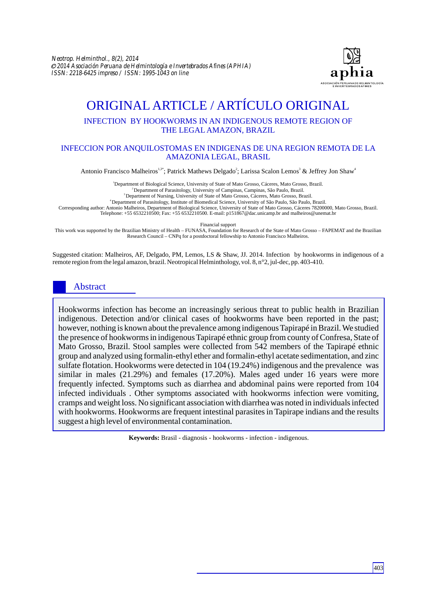

# ORIGINAL ARTICLE / ARTÍCULO ORIGINAL

## INFECTION BY HOOKWORMS IN AN INDIGENOUS REMOTE REGION OF THE LEGAL AMAZON, BRAZIL

#### INFECCION POR ANQUILOSTOMAS EN INDIGENAS DE UNA REGION REMOTA DE LA AMAZONIA LEGAL, BRASIL

Antonio Francisco Malheiros <sup>1,3\*</sup>; Patrick Mathews Delgado<sup>2</sup>; Larissa Scalon Lemos<sup>3</sup> & Jeffrey Jon Shaw<sup>4</sup>

<sup>1</sup>Department of Biological Science, University of State of Mato Grosso, Cáceres, Mato Grosso, Brazil.

<sup>2</sup> Department of Parasitology, University of Campinas, Campinas, São Paulo, Brazil.

<sup>3</sup>Department of Nursing, University of State of Mato Grosso, Cáceres, Mato Grosso, Brazil.

<sup>4</sup>Department of Parasitology, Institute of Biomedical Science, University of São Paulo, São Paulo, Brazil.

Corresponding author: Antonio Malheiros, Department of Biological Science, University of State of Mato Grosso, Cáceres 78200000, Mato Grosso, Brazil. Telephone: +55 6532210500; Fax: +55 6532210500. E-mail: p151867@dac.unicamp.br and malheiros@unemat.br

Financial support

This work was supported by the Brazilian Ministry of Health – FUNASA, Foundation for Research of the State of Mato Grosso – FAPEMAT and the Brazilian Research Council – CNPq for a postdoctoral fellowship to Antonio Francisco Malheiros.

Suggested citation: Malheiros, AF, Delgado, PM, Lemos, LS & Shaw, JJ. 2014. Infection by hookworms in indigenous of a remote region from the legal amazon, brazil. Neotropical Helminthology, vol. 8, n°2, jul-dec, pp. 403-410.

## Abstract

Hookworms infection has become an increasingly serious threat to public health in Brazilian indigenous. Detection and/or clinical cases of hookworms have been reported in the past; however, nothing is known about the prevalence among indigenous Tapirapé in Brazil. We studied the presence of hookworms in indigenous Tapirapé ethnic group from county of Confresa, State of Mato Grosso, Brazil. Stool samples were collected from 542 members of the Tapirapé ethnic group and analyzed using formalin-ethyl ether and formalin-ethyl acetate sedimentation, and zinc sulfate flotation. Hookworms were detected in 104 (19.24%) indigenous and the prevalence was similar in males (21.29%) and females (17.20%). Males aged under 16 years were more frequently infected. Symptoms such as diarrhea and abdominal pains were reported from 104 infected individuals . Other symptoms associated with hookworms infection were vomiting, cramps and weight loss. No significant association with diarrhea was noted in individuals infected with hookworms. Hookworms are frequent intestinal parasites in Tapirape indians and the results suggest a high level of environmental contamination.

**Keywords:** Brasil - diagnosis - hookworms - infection - indigenous.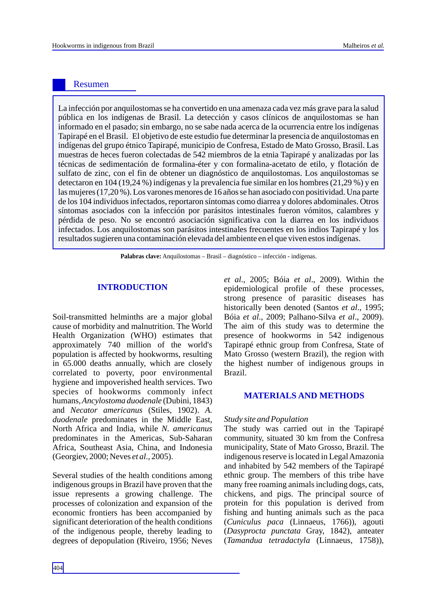## Resumen

La infección por anquilostomas se ha convertido en una amenaza cada vez más grave para la salud pública en los indígenas de Brasil. La detección y casos clínicos de anquilostomas se han informado en el pasado; sin embargo, no se sabe nada acerca de la ocurrencia entre los indígenas Tapirapé en el Brasil. El objetivo de este estudio fue determinar la presencia de anquilostomas en indígenas del grupo étnico Tapirapé, municipio de Confresa, Estado de Mato Grosso, Brasil. Las muestras de heces fueron colectadas de 542 miembros de la etnia Tapirapé y analizadas por las técnicas de sedimentación de formalina-éter y con formalina-acetato de etilo, y flotación de sulfato de zinc, con el fin de obtener un diagnóstico de anquilostomas. Los anquilostomas se detectaron en 104 (19,24 %) indígenas y la prevalencia fue similar en los hombres (21,29 %) y en las mujeres (17,20 %). Los varones menores de 16 años se han asociado con positividad. Una parte de los 104 individuos infectados, reportaron síntomas como diarrea y dolores abdominales. Otros síntomas asociados con la infección por parásitos intestinales fueron vómitos, calambres y pérdida de peso. No se encontró asociación significativa con la diarrea en los individuos infectados. Los anquilostomas son parásitos intestinales frecuentes en los indios Tapirapé y los resultados sugieren una contaminación elevada del ambiente en el que viven estos indígenas.

**Palabras clave:** Anquilostomas – Brasil – diagnóstico – infección - indígenas.

#### **INTRODUCTION**

Soil-transmitted helminths are a major global cause of morbidity and malnutrition. The World Health Organization (WHO) estimates that approximately 740 million of the world's population is affected by hookworms, resulting in 65.000 deaths annually, which are closely correlated to poverty, poor environmental hygiene and impoverished health services. Two species of hookworms commonly infect humans*, Ancylostoma duodenale* (Dubini, 1843) and *Necator americanus* (Stiles, 1902). *A. duodenale* predominates in the Middle East, North Africa and India, while *N. americanus* predominates in the Americas, Sub-Saharan Africa, Southeast Asia, China, and Indonesia (Georgiev, 2000; Neves *et al*., 2005).

Several studies of the health conditions among indigenous groups in Brazil have proven that the issue represents a growing challenge. The processes of colonization and expansion of the economic frontiers has been accompanied by significant deterioration of the health conditions of the indigenous people, thereby leading to degrees of depopulation (Riveiro, 1956; Neves *et al*., 2005; Bóia *et al*., 2009). Within the epidemiological profile of these processes, strong presence of parasitic diseases has historically been denoted (Santos *et al*., 1995; Bóia *et al*., 2009; Palhano-Silva *et al*., 2009). The aim of this study was to determine the presence of hookworms in 542 indigenous Tapirapé ethnic group from Confresa, State of Mato Grosso (western Brazil), the region with the highest number of indigenous groups in Brazil.

#### **MATERIALS AND METHODS**

#### *Study site and Population*

The study was carried out in the Tapirapé community, situated 30 km from the Confresa municipality, State of Mato Grosso, Brazil. The indigenous reserve is located in Legal Amazonia and inhabited by 542 members of the Tapirapé ethnic group. The members of this tribe have many free roaming animals including dogs, cats, chickens, and pigs. The principal source of protein for this population is derived from fishing and hunting animals such as the paca (*Cuniculus paca* (Linnaeus, 1766)), agouti (*Dasyprocta punctata* Gray, 1842), anteater (*Tamandua tetradactyla* (Linnaeus, 1758)),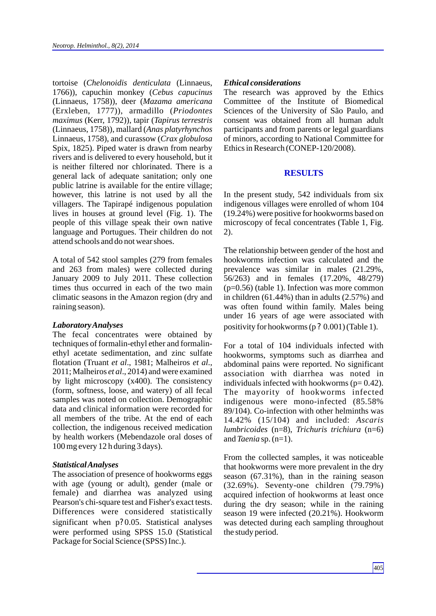tortoise (*Chelonoidis denticulata* ( 1766)), capuchin monkey (*Cebus capucinus*  (Linnaeus, 1758)), deer (*Mazama americana*  (Erxleben, 1777)), armadillo (*Priodontes maximus* (Kerr, 1792)), tapir (*Tapirus terrestris*  (Linnaeus, 1758)), mallard (*Anas platyrhynchos*  Linnaeus, 1758), and curassow (*Crax globulosa*  Spix, 1825). Piped water is drawn from nearby rivers and is delivered to every household, but it is neither filtered nor chlorinated. There is a general lack of adequate sanitation; only one public latrine is available for the entire village; however, this latrine is not used by all the villagers. The Tapirapé indigenous population lives in houses at ground level (Fig. 1). The people of this village speak their own native language and Portugues. Their children do not attend schools and do not wear shoes.

A total of 542 stool samples (279 from females and 263 from males) were collected during January 2009 to July 2011. These collection times thus occurred in each of the two main climatic seasons in the Amazon region (dry and raining season).

#### *Laboratory Analyses*

The fecal concentrates were obtained by techniques of formalin-ethyl ether and formalinethyl acetate sedimentation, and zinc sulfate flotation (Truant *et al*., 1981; Malheiros *et al*., 2011; Malheiros *et al*., 2014) and were examined by light microscopy (x400). The consistency (form, softness, loose, and watery) of all fecal samples was noted on collection. Demographic data and clinical information were recorded for all members of the tribe. At the end of each collection, the indigenous received medication by health workers (Mebendazole oral doses of 100 mg every 12 h during 3 days).

#### *Statistical Analyses*

The association of presence of hookworms eggs with age (young or adult), gender (male or female) and diarrhea was analyzed using Pearson's chi-square test and Fisher's exact tests. Differences were considered statistically significant when p? 0.05. Statistical analyses were performed using SPSS 15.0 (Statistical Package for Social Science (SPSS) Inc.).

#### $Ethical$ *considerations*

The research was approved by the Ethics Committee of the Institute of Biomedical Sciences of the University of São Paulo, and consent was obtained from all human adult participants and from parents or legal guardians of minors, according to National Committee for Ethics in Research (CONEP-120/2008).

#### **RESULTS**

In the present study, 542 individuals from six indigenous villages were enrolled of whom 104 (19.24%) were positive for hookworms based on microscopy of fecal concentrates (Table 1, Fig. 2).

The relationship between gender of the host and hookworms infection was calculated and the prevalence was similar in males (21.29%, 56/263) and in females (17.20%, 48/279) (p=0.56) (table 1). Infection was more common in children (61.44%) than in adults (2.57%) and was often found within family. Males being under 16 years of age were associated with positivity for hookworms (p ? 0.001) (Table 1).

For a total of 104 individuals infected with hookworms, symptoms such as diarrhea and abdominal pains were reported. No significant association with diarrhea was noted in individuals infected with hookworms  $(p= 0.42)$ . The mayority of hookworms infected indigenous were mono-infected (85.58% 89/104). Co-infection with other helminths was 14.42% (15/104) and included: *Ascaris lumbricoides* (n=8), *Trichuris trichiura* (n=6) and *Taenia* sp. (n=1).

From the collected samples, it was noticeable that hookworms were more prevalent in the dry season (67.31%), than in the raining season (32.69%). Seventy-one children (79.79%) acquired infection of hookworms at least once during the dry season; while in the raining season 19 were infected (20.21%). Hookworm was detected during each sampling throughout the study period.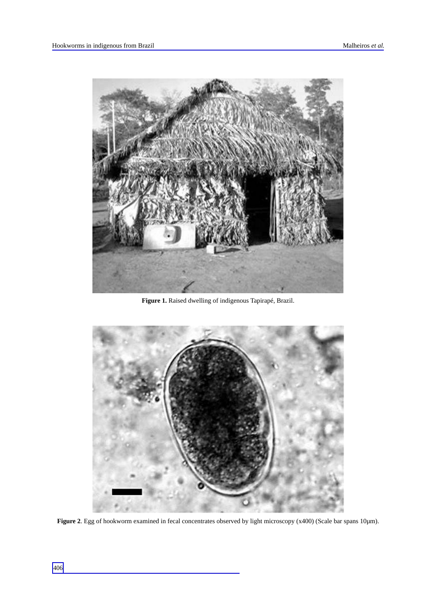

**Figure 1.** Raised dwelling of indigenous Tapirapé, Brazil.



**Figure 2**. Egg of hookworm examined in fecal concentrates observed by light microscopy (x400) (Scale bar spans 10µm).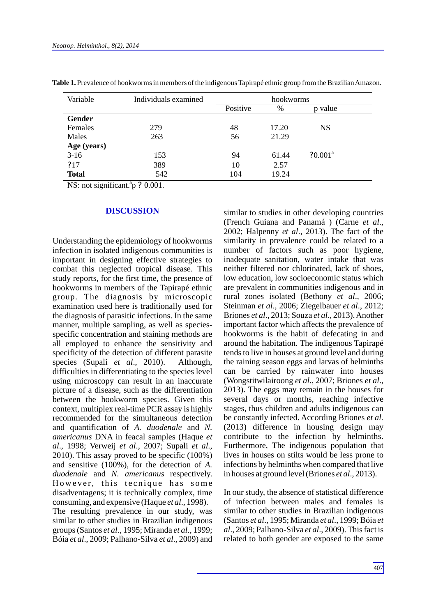| Variable      | Individuals examined | hookworms |       |            |  |
|---------------|----------------------|-----------|-------|------------|--|
|               |                      | Positive  | %     | p value    |  |
| <b>Gender</b> |                      |           |       |            |  |
| Females       | 279                  | 48        | 17.20 | <b>NS</b>  |  |
| Males         | 263                  | 56        | 21.29 |            |  |
| Age (years)   |                      |           |       |            |  |
| $3-16$        | 153                  | 94        | 61.44 | $70.001^a$ |  |
| 717           | 389                  | 10        | 2.57  |            |  |
| <b>Total</b>  | 542                  | 104       | 19.24 |            |  |

**Table 1.**Prevalence of hookworms in members of the indigenous Tapirapé ethnic group from the Brazilian Amazon.

NS: not significant. $^{a}p$  ?0.001.

#### **DISCUSSION**

Understanding the epidemiology of hookworms infection in isolated indigenous communities is important in designing effective strategies to combat this neglected tropical disease. This study reports, for the first time, the presence of hookworms in members of the Tapirapé ethnic group. The diagnosis by microscopic examination used here is traditionally used for the diagnosis of parasitic infections. In the same manner, multiple sampling, as well as speciesspecific concentration and staining methods are all employed to enhance the sensitivity and specificity of the detection of different parasite species (Supali *et al*., 2010). Although, difficulties in differentiating to the species level using microscopy can result in an inaccurate picture of a disease, such as the differentiation between the hookworm species. Given this context, multiplex real-time PCR assay is highly recommended for the simultaneous detection and quantification of *A. duodenale* and *N. americanus* DNA in feacal samples (Haque *et al*., 1998; Verweij *et al*., 2007; Supali *et al*., 2010). This assay proved to be specific (100%) and sensitive (100%), for the detection of *A. duodenale* and *N. americanus* respectively. However, this tecnique has some disadventagens; it is technically complex, time consuming, and expensive (Haque *et al*., 1998).

The resulting prevalence in our study, was similar to other studies in Brazilian indigenous groups (Santos *et al*., 1995; Miranda *et al*., 1999; Bóia *et al*., 2009; Palhano-Silva *et al*., 2009) and similar to studies in other developing countries (French Guiana and Panamá ) (Carne *et al*., 2002; Halpenny *et al*., 2013). The fact of the similarity in prevalence could be related to a number of factors such as poor hygiene, inadequate sanitation, water intake that was neither filtered nor chlorinated, lack of shoes, low education, low socioeconomic status which are prevalent in communities indigenous and in rural zones isolated (Bethony *et al*., 2006; Steinman *et al*., 2006; Ziegelbauer *et al*., 2012; Briones *et al*., 2013; Souza *et al*., 2013). Another important factor which affects the prevalence of hookworms is the habit of defecating in and around the habitation. The indigenous Tapirapé tends to live in houses at ground level and during the raining season eggs and larvas of helminths can be carried by rainwater into houses (Wongstitwilairoong *et al*., 2007; Briones *et al*., 2013). The eggs may remain in the houses for several days or months, reaching infective stages, thus children and adults indigenous can be constantly infected. According Briones *et al.* (2013) difference in housing design may contribute to the infection by helminths. Furthermore, The indigenous population that lives in houses on stilts would be less prone to infections by helminths when compared that live in houses at ground level (Briones *et al*., 2013).

In our study, the absence of statistical difference of infection between males and females is similar to other studies in Brazilian indigenous (Santos *et al*., 1995; Miranda *et al*., 1999; Bóia *et al*., 2009; Palhano-Silva *et al*., 2009). This fact is related to both gender are exposed to the same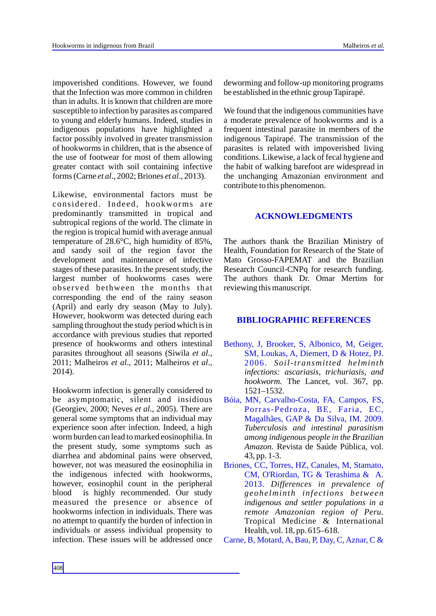impoverished conditions. However, we found that the Infection was more common in children than in adults. It is known that children are more susceptible to infection by parasites as compared to young and elderly humans. Indeed, studies in indigenous populations have highlighted a factor possibly involved in greater transmission of hookworms in children, that is the absence of the use of footwear for most of them allowing greater contact with soil containing infective forms (Carne *et al*., 2002; Briones *et al*., 2013).

Likewise, environmental factors must be considered. Indeed, hookworms are predominantly transmitted in tropical and subtropical regions of the world. The climate in the region is tropical humid with average annual temperature of 28.6°C, high humidity of 85%, and sandy soil of the region favor the development and maintenance of infective stages of these parasites. In the present study, the largest number of hookworms cases were observed bethween the months that corresponding the end of the rainy season (April) and early dry season (May to July). However, hookworm was detected during each sampling throughout the study period which is in accordance with previous studies that reported presence of hookworms and others intestinal parasites throughout all seasons (Siwila *et al*., 2011; Malheiros *et al*., 2011; Malheiros *et al*., 2014).

Hookworm infection is generally considered to be asymptomatic, silent and insidious (Georgiev, 2000; Neves *et al*., 2005). There are general some symptoms that an individual may experience soon after infection. Indeed, a high worm burden can lead to marked eosinophilia. In the present study, some symptoms such as diarrhea and abdominal pains were observed, however, not was measured the eosinophilia in the indigenous infected with hookworms, however, eosinophil count in the peripheral blood is highly recommended. Our study measured the presence or absence of hookworms infection in individuals. There was no attempt to quantify the burden of infection in individuals or assess individual propensity to infection. These issues will be addressed once

deworming and follow-up monitoring programs be established in the ethnic group Tapirapé.

We found that the indigenous communities have a moderate prevalence of hookworms and is a frequent intestinal parasite in members of the indigenous Tapirapé. The transmission of the parasites is related with impoverished living conditions. Likewise, a lack of fecal hygiene and the habit of walking barefoot are widespread in the unchanging Amazonian environment and contribute to this phenomenon.

## **ACKNOWLEDGMENTS**

The authors thank the Brazilian Ministry of Health, Foundation for Research of the State of Mato Grosso-FAPEMAT and the Brazilian Research Council-CNPq for research funding. The authors thank Dr. Omar Mertins for reviewing this manuscript.

## **BIBLIOGRAPHIC REFERENCES**

- Bethony, J, Brooker, S, Albonico, M, Geiger, SM, Loukas, A, Diemert, D & Hotez, PJ. 2006. *Soil-transmitted helminth infections: ascariasis, trichuriasis, and hookworm.* The Lancet, vol. 367, pp. 1521–1532.
- Bóia, MN, Carvalho-Costa, FA, Campos, FS, Porras-Pedroza, BE, Faria, EC, Magalhães, GAP & Da Silva, IM. 2009. *Tuberculosis and intestinal parasitism among indigenous people in the Brazilian Amazon.* Revista de Saúde Pública, vol. 43, pp. 1-3.
- Briones, CC, Torres, HZ, Canales, M, Stamato, CM, O'Riordan, TG & Terashima & A. 2013. *Differences in prevalence of geohelminth infections between indigenous and settler populations in a remote Amazonian region of Peru.* Tropical Medicine & International Health, vol. 18, pp. 615–618.

Carne, B, Motard, A, Bau, P, Day, C, Aznar, C &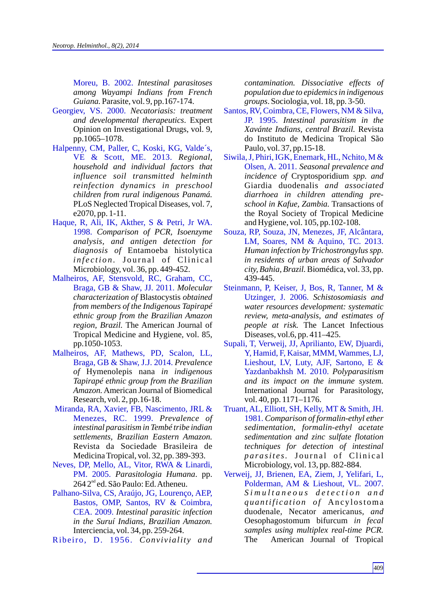Moreu, B. 2002. *Intestinal parasitoses among Wayampi Indians from French Guiana.* Parasite, vol. 9, pp.167-174.

- Georgiev, VS. 2000. *Necatoriasis: treatment and developmental therapeutics*. Expert Opinion on Investigational Drugs, vol. 9, pp.1065–1078.
- Halpenny, CM, Paller, C, Koski, KG, Valde´s, VE & Scott, ME. 2013. *Regional, household and individual factors that influence soil transmitted helminth reinfection dynamics in preschool children from rural indigenous Panamá.* PLoS Neglected Tropical Diseases, vol. 7, e2070, pp. 1-11.
- Haque, R, Ali, IK, Akther, S & Petri, Jr WA. 1998. *Comparison of PCR, Isoenzyme analysis, and antigen detection for diagnosis of* Entamoeba histolytica *infection.* Journal of Clinical Microbiology, vol. 36, pp. 449-452.
- Malheiros, AF, Stensvold, RC, Graham, CC, Braga, GB & Shaw, JJ. 2011. *Molecular characterization of* Blastocystis *obtained from members of the Indigenous Tapirapé ethnic group from the Brazilian Amazon region, Brazil.* The American Journal of Tropical Medicine and Hygiene, vol. 85, pp.1050-1053.
- Malheiros, AF, Mathews, PD, Scalon, LL, Braga, GB & Shaw, J.J. 2014. *Prevalence of* Hymenolepis nana *in indigenous Tapirapé ethnic group from the Brazilian Amazon.*American Journal of Biomedical Research, vol. 2, pp.16-18.
- Miranda, RA, Xavier, FB, Nascimento, JRL & Menezes, RC. 1999. *Prevalence of intestinal parasitism in Tembé tribe indian settlements, Brazilian Eastern Amazon.*  Revista da Sociedade Brasileira de Medicina Tropical, vol. 32, pp. 389-393.
- Neves, DP, Mello, AL, Vitor, RWA & Linardi, PM. 2005. *Parasitologia Humana*. pp. 264 2<sup>nd</sup> ed. São Paulo: Ed. Atheneu.
- Palhano-Silva, CS, Araújo, JG, Lourenço, AEP, Bastos, OMP, Santos, RV & Coimbra, CEA. 2009. *Intestinal parasitic infection in the Suruí Indians, Brazilian Amazon.* Interciencia, vol. 34, pp. 259-264.

Ribeiro, D. 1956. *Conviviality and*

*contamination. Dissociative effects of population due to epidemics in indigenous groups*. Sociologia, vol. 18, pp. 3-50.

- *Intestinal parasitism in the*  JP. 1995. *Xavánte Indians, central Brazil.* Revista do Instituto de Medicina Tropical São Paulo, vol. 37, pp.15-18. Santos, RV, Coimbra, CE, Flowers, NM & Silva,
- Olsen, A. 2011. Seasonal prevalence and *incidence of* Cryptosporidium *spp. and*  Giardia duodenalis *and associated diarrhoea in children attending preschool in Kafue, Zambia.* Transactions of the Royal Society of Tropical Medicine and Hygiene, vol. 105, pp.102-108. Siwila, J, Phiri, IGK, Enemark, HL, Nchito, M &
- *Human infection by Trichostrongylus spp. in residents of urban areas of Salvador city, Bahia, Brazil.*Biomédica, vol. 33, pp. 439-445. Souza, RP, Souza, JN, Menezes, JF, Alcântara, LM, Soares, NM & Aquino, TC. 2013.
- Utzinger, J. 2006. Schistosomiasis and *water resources development: systematic review, meta-analysis, and estimates of people at risk.* The Lancet Infectious Diseases, vol.6, pp. 411–425. Steinmann, P, Keiser, J, Bos, R, Tanner, M &
- *Polyparasitism*  Yazdanbakhsh M. 2010. *and its impact on the immune system.*  International Journal for Parasitology, vol. 40, pp. 1171–1176. Supali, T, Verweij, JJ, Aprilianto, EW, Djuardi, Y, Hamid, F, Kaisar, MMM, Wammes, LJ, Lieshout, LV, Luty, AJF, Sartono, E &
- *Comparison of formalin-ethyl ether*  1981. *sedimentation, formalin-ethyl acetate sedimentation and zinc sulfate flotation techniques for detection of intestinal parasites.* Journal of Clinical Microbiology, vol. 13, pp. 882-884. Truant, AL, Elliott, SH, Kelly, MT & Smith, JH.
- *S i m u l t a n e o u s d e t e c t i o n a n d q u a n tifi c a ti o n o f* An c y l o st oma duodenale*,* Necator americanus*, and* Oesophagostomum bifurcum *in fecal samples using multiplex real-time PCR.* The American Journal of Tropical Verweij, JJ, Brienen, EA, Ziem, J, Yelifari, L, Polderman, AM & Lieshout, VL. 2007.